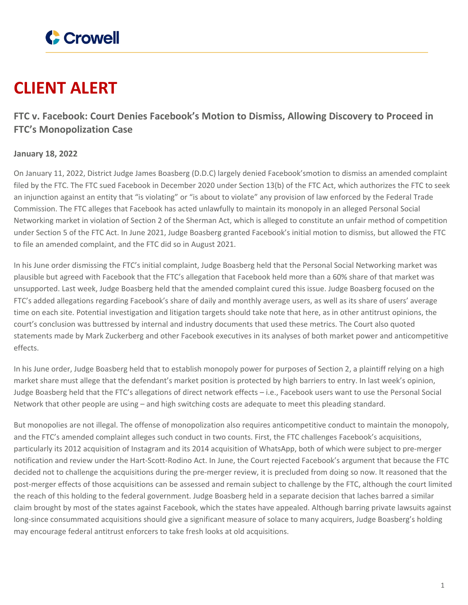

## **CLIENT ALERT**

## **FTC v. Facebook: Court Denies Facebook's Motion to Dismiss, Allowing Discovery to Proceed in FTC's Monopolization Case**

## **January 18, 2022**

On January 11, 2022, District Judge James Boasberg (D.D.C) largely denied Facebook'smotion to dismiss an amended complaint filed by the FTC. The FTC sued Facebook in December 2020 under Section 13(b) of the FTC Act, which authorizes the FTC to seek an injunction against an entity that "is violating" or "is about to violate" any provision of law enforced by the Federal Trade Commission. The FTC alleges that Facebook has acted unlawfully to maintain its monopoly in an alleged Personal Social Networking market in violation of Section 2 of the Sherman Act, which is alleged to constitute an unfair method of competition under Section 5 of the FTC Act. In June 2021, Judge Boasberg granted Facebook's initial motion to dismiss, but allowed the FTC to file an amended complaint, and the FTC did so in August 2021.

In his June order dismissing the FTC's initial complaint, Judge Boasberg held that the Personal Social Networking market was plausible but agreed with Facebook that the FTC's allegation that Facebook held more than a 60% share of that market was unsupported. Last week, Judge Boasberg held that the amended complaint cured this issue. Judge Boasberg focused on the FTC's added allegations regarding Facebook's share of daily and monthly average users, as well as its share of users' average time on each site. Potential investigation and litigation targets should take note that here, as in other antitrust opinions, the court's conclusion was buttressed by internal and industry documents that used these metrics. The Court also quoted statements made by Mark Zuckerberg and other Facebook executives in its analyses of both market power and anticompetitive effects.

In his June order, Judge Boasberg held that to establish monopoly power for purposes of Section 2, a plaintiff relying on a high market share must allege that the defendant's market position is protected by high barriers to entry. In last week's opinion, Judge Boasberg held that the FTC's allegations of direct network effects – i.e., Facebook users want to use the Personal Social Network that other people are using – and high switching costs are adequate to meet this pleading standard.

But monopolies are not illegal. The offense of monopolization also requires anticompetitive conduct to maintain the monopoly, and the FTC's amended complaint alleges such conduct in two counts. First, the FTC challenges Facebook's acquisitions, particularly its 2012 acquisition of Instagram and its 2014 acquisition of WhatsApp, both of which were subject to pre-merger notification and review under the Hart-Scott-Rodino Act. In June, the Court rejected Facebook's argument that because the FTC decided not to challenge the acquisitions during the pre-merger review, it is precluded from doing so now. It reasoned that the post-merger effects of those acquisitions can be assessed and remain subject to challenge by the FTC, although the court limited the reach of this holding to the federal government. Judge Boasberg held in a separate decision that laches barred a similar claim brought by most of the states against Facebook, which the states have appealed. Although barring private lawsuits against long-since consummated acquisitions should give a significant measure of solace to many acquirers, Judge Boasberg's holding may encourage federal antitrust enforcers to take fresh looks at old acquisitions.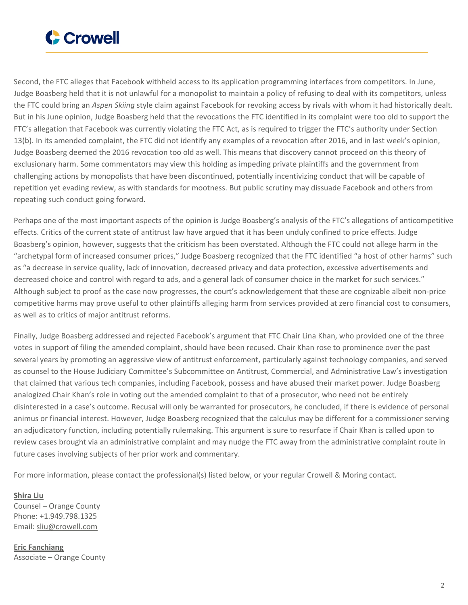

Second, the FTC alleges that Facebook withheld access to its application programming interfaces from competitors. In June, Judge Boasberg held that it is not unlawful for a monopolist to maintain a policy of refusing to deal with its competitors, unless the FTC could bring an *Aspen Skiing* style claim against Facebook for revoking access by rivals with whom it had historically dealt. But in his June opinion, Judge Boasberg held that the revocations the FTC identified in its complaint were too old to support the FTC's allegation that Facebook was currently violating the FTC Act, as is required to trigger the FTC's authority under Section 13(b). In its amended complaint, the FTC did not identify any examples of a revocation after 2016, and in last week's opinion, Judge Boasberg deemed the 2016 revocation too old as well. This means that discovery cannot proceed on this theory of exclusionary harm. Some commentators may view this holding as impeding private plaintiffs and the government from challenging actions by monopolists that have been discontinued, potentially incentivizing conduct that will be capable of repetition yet evading review, as with standards for mootness. But public scrutiny may dissuade Facebook and others from repeating such conduct going forward.

Perhaps one of the most important aspects of the opinion is Judge Boasberg's analysis of the FTC's allegations of anticompetitive effects. Critics of the current state of antitrust law have argued that it has been unduly confined to price effects. Judge Boasberg's opinion, however, suggests that the criticism has been overstated. Although the FTC could not allege harm in the "archetypal form of increased consumer prices," Judge Boasberg recognized that the FTC identified "a host of other harms" such as "a decrease in service quality, lack of innovation, decreased privacy and data protection, excessive advertisements and decreased choice and control with regard to ads, and a general lack of consumer choice in the market for such services." Although subject to proof as the case now progresses, the court's acknowledgement that these are cognizable albeit non-price competitive harms may prove useful to other plaintiffs alleging harm from services provided at zero financial cost to consumers, as well as to critics of major antitrust reforms.

Finally, Judge Boasberg addressed and rejected Facebook's argument that FTC Chair Lina Khan, who provided one of the three votes in support of filing the amended complaint, should have been recused. Chair Khan rose to prominence over the past several years by promoting an aggressive view of antitrust enforcement, particularly against technology companies, and served as counsel to the House Judiciary Committee's Subcommittee on Antitrust, Commercial, and Administrative Law's investigation that claimed that various tech companies, including Facebook, possess and have abused their market power. Judge Boasberg analogized Chair Khan's role in voting out the amended complaint to that of a prosecutor, who need not be entirely disinterested in a case's outcome. Recusal will only be warranted for prosecutors, he concluded, if there is evidence of personal animus or financial interest. However, Judge Boasberg recognized that the calculus may be different for a commissioner serving an adjudicatory function, including potentially rulemaking. This argument is sure to resurface if Chair Khan is called upon to review cases brought via an administrative complaint and may nudge the FTC away from the administrative complaint route in future cases involving subjects of her prior work and commentary.

For more information, please contact the professional(s) listed below, or your regular Crowell & Moring contact.

**[Shira](https://www.crowell.com/professionals/Shira-Liu) Liu** Counsel – Orange County Phone: +1.949.798.1325 Email: [sliu@crowell.com](mailto:sliu@crowell.com)

**Eric [Fanchiang](https://www.crowell.com/professionals/Eric-Fanchiang)** Associate – Orange County